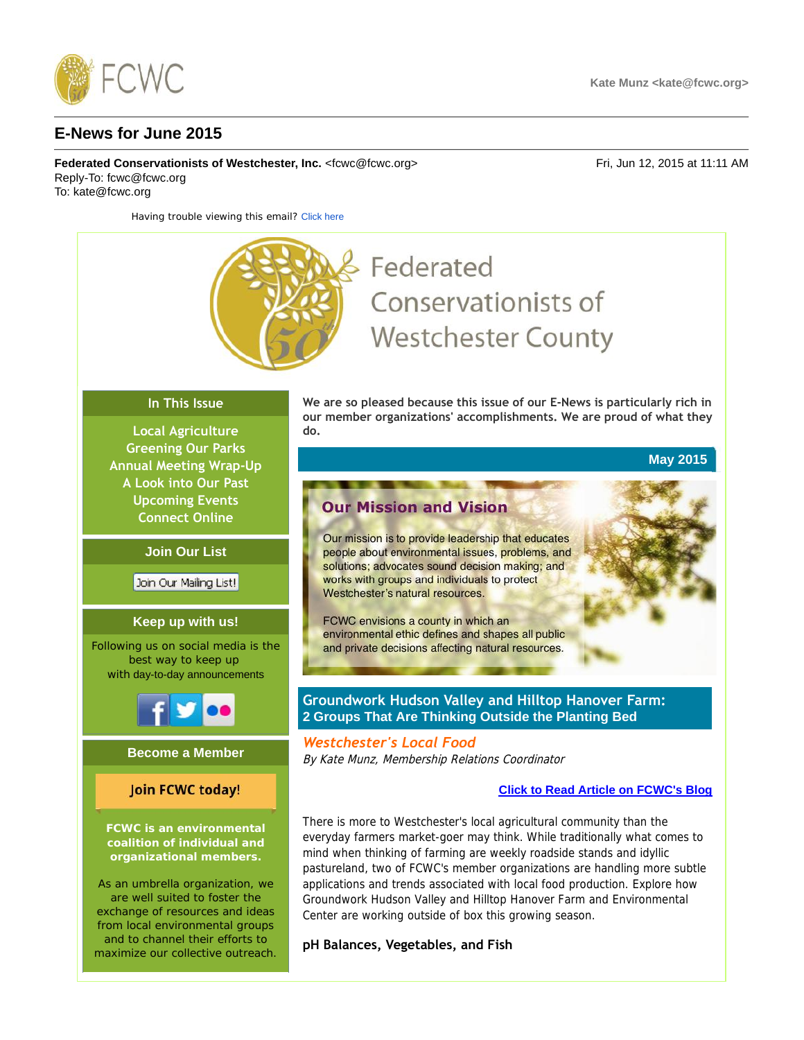

# **E-News for June 2015**

Federated Conservationists of Westchester, Inc. <fcwc@fcwc.org>
Fri, Jun 12, 2015 at 11:11 AM Reply-To: fcwc@fcwc.org To: kate@fcwc.org

Having trouble viewing this email? Click here



# **Federated** Conservationists of **Westchester County**

## **In This Issue**

**Local Agriculture Greening Our Parks Annual Meeting Wrap-Up A Look into Our Past Upcoming Events Connect Online**

**Join Our List**

Join Our Mailing List!

#### **Keep up with us!**

best way to keep up with day-to-day announcements



#### **Become a Member**

## Join FCWC today!

**FCWC is an environmental coalition of individual and organizational members.**

As an umbrella organization, we are well suited to foster the exchange of resources and ideas from local environmental groups and to channel their efforts to maximize our collective outreach.

**We are so pleased because this issue of our E-News is particularly rich in our member organizations' accomplishments. We are proud of what they do.**

#### **May 2015**

## **Our Mission and Vision**

Our mission is to provide leadership that educates people about environmental issues, problems, and solutions; advocates sound decision making; and works with groups and individuals to protect Westchester's natural resources.

FCWC envisions a county in which an environmental ethic defines and shapes all public Following us on social media is the and private decisions affecting natural resources.

## **Groundwork Hudson Valley and Hilltop Hanover Farm: 2 Groups That Are Thinking Outside the Planting Bed**

*Westchester's Local Food* By Kate Munz, Membership Relations Coordinator

#### **Click to Read Article on FCWC's Blog**

There is more to Westchester's local agricultural community than the everyday farmers market-goer may think. While traditionally what comes to mind when thinking of farming are weekly roadside stands and idyllic pastureland, two of FCWC's member organizations are handling more subtle applications and trends associated with local food production. Explore how Groundwork Hudson Valley and Hilltop Hanover Farm and Environmental Center are working outside of box this growing season.

#### **pH Balances, Vegetables, and Fish**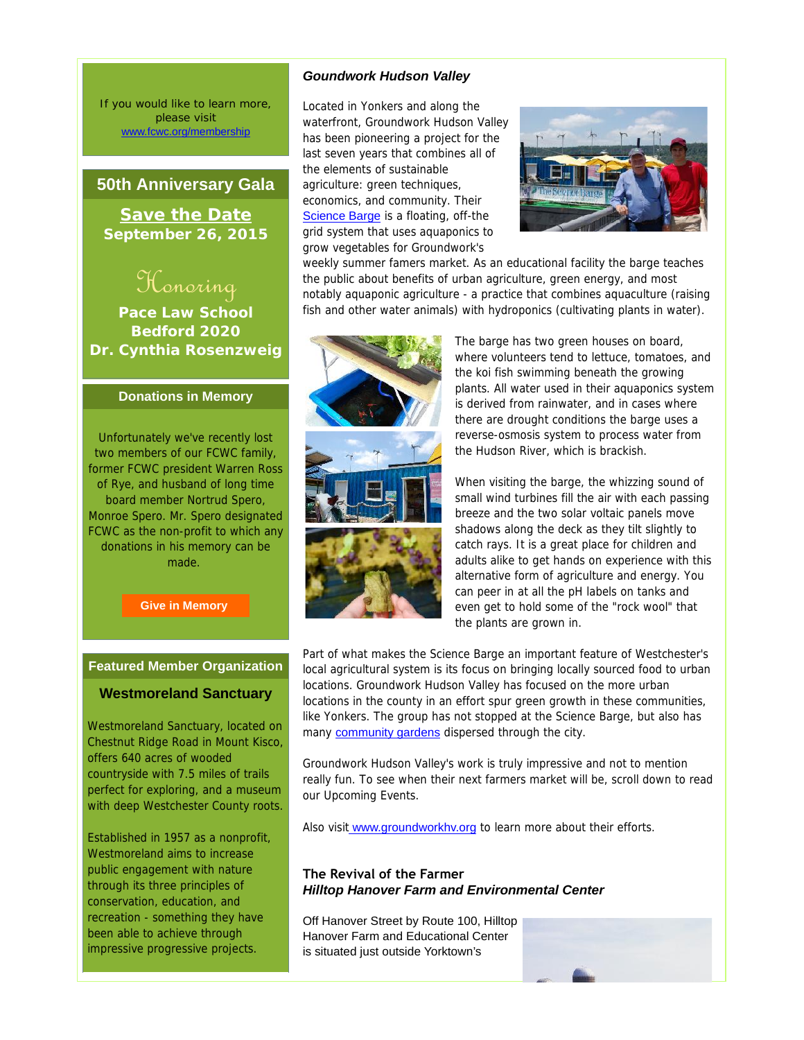If you would like to learn more, please visit www.fcwc.org/membership

# **50th Anniversary Gala**

**Save the Date September 26, 2015**

Honoring **Pace Law School Bedford 2020 Dr. Cynthia Rosenzweig**

## **Donations in Memory**

Unfortunately we've recently lost two members of our FCWC family, former FCWC president Warren Ross of Rye, and husband of long time board member Nortrud Spero, Monroe Spero. Mr. Spero designated FCWC as the non-profit to which any donations in his memory can be made.

**Give in Memory**

#### **Featured Member Organization**

#### **Westmoreland Sanctuary**

Westmoreland Sanctuary, located on Chestnut Ridge Road in Mount Kisco, offers 640 acres of wooded countryside with 7.5 miles of trails perfect for exploring, and a museum with deep Westchester County roots.

Established in 1957 as a nonprofit, Westmoreland aims to increase public engagement with nature through its three principles of conservation, education, and recreation - something they have been able to achieve through impressive progressive projects.

#### *Goundwork Hudson Valley*

Located in Yonkers and along the waterfront, Groundwork Hudson Valley has been pioneering a project for the last seven years that combines all of the elements of sustainable agriculture: green techniques, economics, and community. Their Science Barge is a floating, off-the grid system that uses aquaponics to grow vegetables for Groundwork's



weekly summer famers market. As an educational facility the barge teaches the public about benefits of urban agriculture, green energy, and most notably aquaponic agriculture - a practice that combines aquaculture (raising fish and other water animals) with hydroponics (cultivating plants in water).





The barge has two green houses on board,

When visiting the barge, the whizzing sound of small wind turbines fill the air with each passing breeze and the two solar voltaic panels move shadows along the deck as they tilt slightly to catch rays. It is a great place for children and adults alike to get hands on experience with this alternative form of agriculture and energy. You can peer in at all the pH labels on tanks and even get to hold some of the "rock wool" that the plants are grown in.

Part of what makes the Science Barge an important feature of Westchester's local agricultural system is its focus on bringing locally sourced food to urban locations. Groundwork Hudson Valley has focused on the more urban locations in the county in an effort spur green growth in these communities, like Yonkers. The group has not stopped at the Science Barge, but also has many community gardens dispersed through the city.

Groundwork Hudson Valley's work is truly impressive and not to mention really fun. To see when their next farmers market will be, scroll down to read our Upcoming Events.

Also visit www.groundworkhy.org to learn more about their efforts.

## **The Revival of the Farmer** *Hilltop Hanover Farm and Environmental Center*

Off Hanover Street by Route 100, Hilltop Hanover Farm and Educational Center is situated just outside Yorktown's

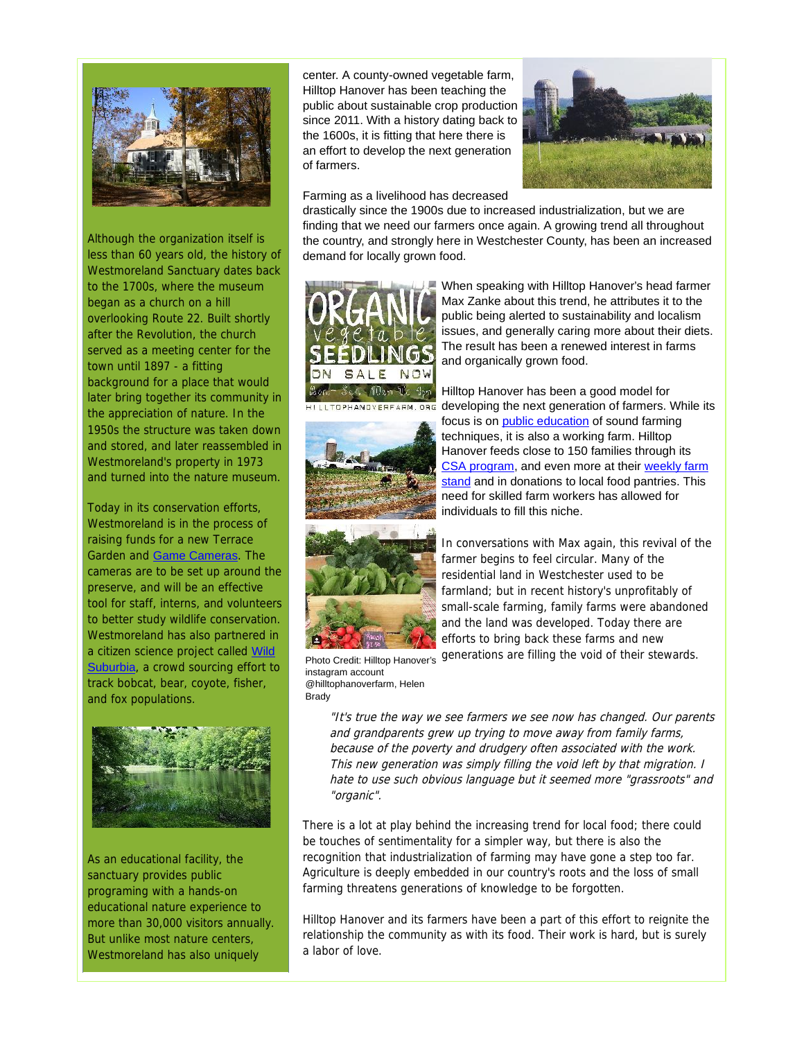

Although the organization itself is less than 60 years old, the history of Westmoreland Sanctuary dates back to the 1700s, where the museum began as a church on a hill overlooking Route 22. Built shortly after the Revolution, the church served as a meeting center for the town until 1897 - a fitting background for a place that would later bring together its community in the appreciation of nature. In the 1950s the structure was taken down and stored, and later reassembled in Westmoreland's property in 1973 and turned into the nature museum.

Today in its conservation efforts, Westmoreland is in the process of raising funds for a new Terrace Garden and Game Cameras. The cameras are to be set up around the preserve, and will be an effective tool for staff, interns, and volunteers to better study wildlife conservation. Westmoreland has also partnered in a citizen science project called Wild Suburbia, a crowd sourcing effort to track bobcat, bear, coyote, fisher, and fox populations.



As an educational facility, the sanctuary provides public programing with a hands-on educational nature experience to more than 30,000 visitors annually. But unlike most nature centers, Westmoreland has also uniquely

center. A county-owned vegetable farm, Hilltop Hanover has been teaching the public about sustainable crop production since 2011. With a history dating back to the 1600s, it is fitting that here there is an effort to develop the next generation of farmers.



Farming as a livelihood has decreased

drastically since the 1900s due to increased industrialization, but we are finding that we need our farmers once again. A growing trend all throughout the country, and strongly here in Westchester County, has been an increased demand for locally grown food.



When speaking with Hilltop Hanover's head farmer Max Zanke about this trend, he attributes it to the public being alerted to sustainability and localism issues, and generally caring more about their diets. The result has been a renewed interest in farms and organically grown food.

OPHANOVERFARM.ORG



Hilltop Hanover has been a good model for developing the next generation of farmers. While its focus is on public education of sound farming techniques, it is also a working farm. Hilltop Hanover feeds close to 150 families through its CSA program, and even more at their weekly farm stand and in donations to local food pantries. This need for skilled farm workers has allowed for individuals to fill this niche.



In conversations with Max again, this revival of the farmer begins to feel circular. Many of the residential land in Westchester used to be farmland; but in recent history's unprofitably of small-scale farming, family farms were abandoned and the land was developed. Today there are efforts to bring back these farms and new

Photo Credit: Hilltop Hanover's generations are filling the void of their stewards. instagram account @hilltophanoverfarm, Helen Brady

"It's true the way we see farmers we see now has changed. Our parents and grandparents grew up trying to move away from family farms, because of the poverty and drudgery often associated with the work. This new generation was simply filling the void left by that migration. I hate to use such obvious language but it seemed more "grassroots" and "organic".

There is a lot at play behind the increasing trend for local food; there could be touches of sentimentality for a simpler way, but there is also the recognition that industrialization of farming may have gone a step too far. Agriculture is deeply embedded in our country's roots and the loss of small farming threatens generations of knowledge to be forgotten.

Hilltop Hanover and its farmers have been a part of this effort to reignite the relationship the community as with its food. Their work is hard, but is surely a labor of love.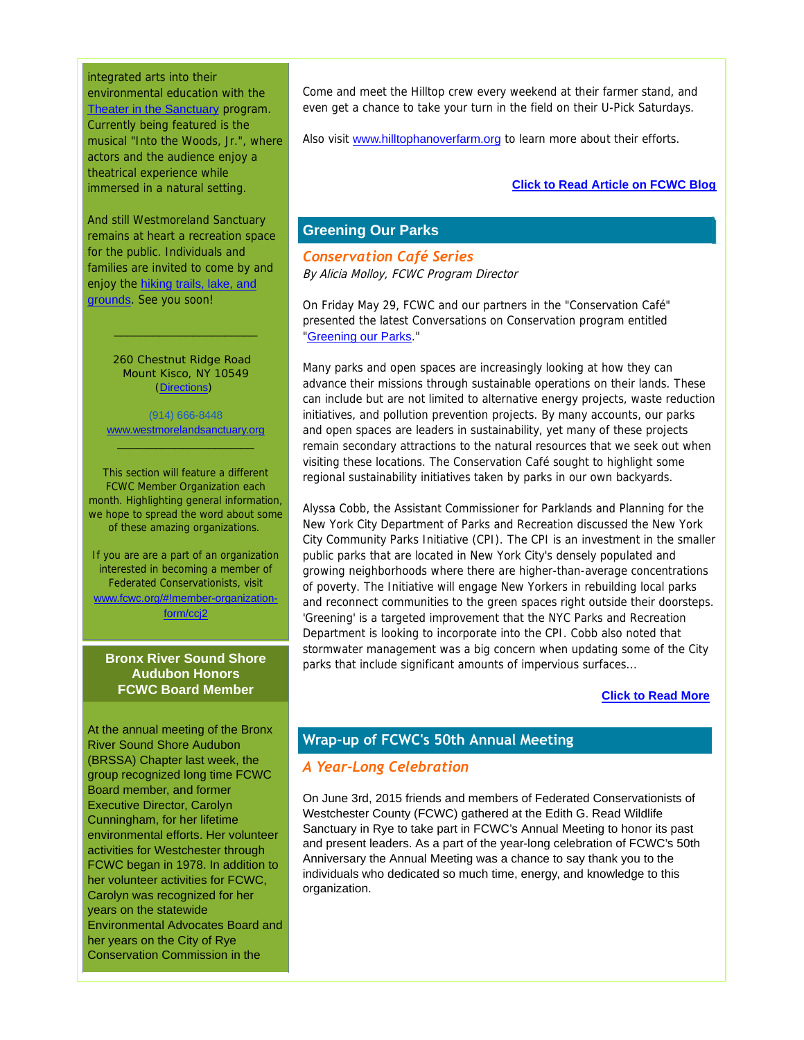#### integrated arts into their

environmental education with the Theater in the Sanctuary program. Currently being featured is the musical "Into the Woods, Jr.", where actors and the audience enjoy a theatrical experience while immersed in a natural setting.

And still Westmoreland Sanctuary remains at heart a recreation space for the public. Individuals and families are invited to come by and enjoy the hiking trails, lake, and grounds. See you soon!

> 260 Chestnut Ridge Road Mount Kisco, NY 10549 (Directions)

(914) 666-8448 www.westmorelandsanctuary.org  $\overline{\phantom{a}}$  , and the set of the set of the set of the set of the set of the set of the set of the set of the set of the set of the set of the set of the set of the set of the set of the set of the set of the set of the s

This section will feature a different FCWC Member Organization each month. Highlighting general information, we hope to spread the word about some of these amazing organizations.

If you are are a part of an organization interested in becoming a member of Federated Conservationists, visit www.fcwc.org/#!member-organizationform/ccj2

## **Bronx River Sound Shore Audubon Honors FCWC Board Member**

At the annual meeting of the Bronx River Sound Shore Audubon (BRSSA) Chapter last week, the group recognized long time FCWC Board member, and former Executive Director, Carolyn Cunningham, for her lifetime environmental efforts. Her volunteer activities for Westchester through FCWC began in 1978. In addition to her volunteer activities for FCWC, Carolyn was recognized for her years on the statewide Environmental Advocates Board and her years on the City of Rye Conservation Commission in the

Come and meet the Hilltop crew every weekend at their farmer stand, and even get a chance to take your turn in the field on their U-Pick Saturdays.

Also visit www.hilltophanoverfarm.org to learn more about their efforts.

#### **Click to Read Article on FCWC Blog**

## **Greening Our Parks**

*Conservation Café Series* By Alicia Molloy, FCWC Program Director

\_\_\_\_\_\_\_\_\_\_\_\_\_\_\_\_\_\_\_\_\_\_ On Friday May 29, FCWC and our partners in the "Conservation Café" presented the latest Conversations on Conservation program entitled "Greening our Parks."

> Many parks and open spaces are increasingly looking at how they can advance their missions through sustainable operations on their lands. These can include but are not limited to alternative energy projects, waste reduction initiatives, and pollution prevention projects. By many accounts, our parks and open spaces are leaders in sustainability, yet many of these projects remain secondary attractions to the natural resources that we seek out when visiting these locations. The Conservation Café sought to highlight some regional sustainability initiatives taken by parks in our own backyards.

> Alyssa Cobb, the Assistant Commissioner for Parklands and Planning for the New York City Department of Parks and Recreation discussed the New York City Community Parks Initiative (CPI). The CPI is an investment in the smaller public parks that are located in New York City's densely populated and growing neighborhoods where there are higher-than-average concentrations of poverty. The Initiative will engage New Yorkers in rebuilding local parks and reconnect communities to the green spaces right outside their doorsteps. 'Greening' is a targeted improvement that the NYC Parks and Recreation Department is looking to incorporate into the CPI. Cobb also noted that stormwater management was a big concern when updating some of the City parks that include significant amounts of impervious surfaces...

#### **Click to Read More**

# **Wrap-up of FCWC's 50th Annual Meeting**

## *A Year-Long Celebration*

On June 3rd, 2015 friends and members of Federated Conservationists of Westchester County (FCWC) gathered at the Edith G. Read Wildlife Sanctuary in Rye to take part in FCWC's Annual Meeting to honor its past and present leaders. As a part of the year-long celebration of FCWC's 50th Anniversary the Annual Meeting was a chance to say thank you to the individuals who dedicated so much time, energy, and knowledge to this organization.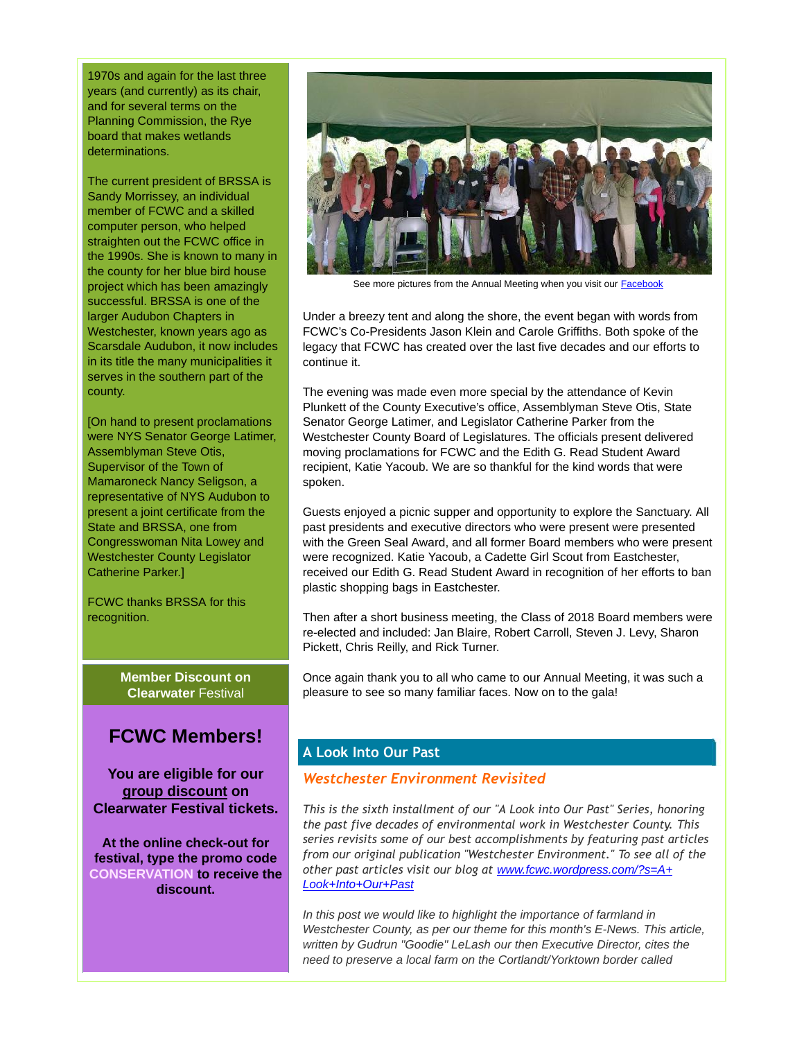1970s and again for the last three years (and currently) as its chair, and for several terms on the Planning Commission, the Rye board that makes wetlands determinations.

The current president of BRSSA is Sandy Morrissey, an individual member of FCWC and a skilled computer person, who helped straighten out the FCWC office in the 1990s. She is known to many in the county for her blue bird house project which has been amazingly successful. BRSSA is one of the larger Audubon Chapters in Westchester, known years ago as Scarsdale Audubon, it now includes in its title the many municipalities it serves in the southern part of the county.

[On hand to present proclamations were NYS Senator George Latimer, Assemblyman Steve Otis, Supervisor of the Town of Mamaroneck Nancy Seligson, a representative of NYS Audubon to present a joint certificate from the State and BRSSA, one from Congresswoman Nita Lowey and Westchester County Legislator Catherine Parker.]

FCWC thanks BRSSA for this recognition.

> **Member Discount on Clearwater** Festival

# **FCWC Members!**

**You are eligible for our group discount on Clearwater Festival tickets.**

**At the online check-out for festival, type the promo code CONSERVATION to receive the discount.**



See more pictures from the Annual Meeting when you visit our **Facebook** 

Under a breezy tent and along the shore, the event began with words from FCWC's Co-Presidents Jason Klein and Carole Griffiths. Both spoke of the legacy that FCWC has created over the last five decades and our efforts to continue it.

The evening was made even more special by the attendance of Kevin Plunkett of the County Executive's office, Assemblyman Steve Otis, State Senator George Latimer, and Legislator Catherine Parker from the Westchester County Board of Legislatures. The officials present delivered moving proclamations for FCWC and the Edith G. Read Student Award recipient, Katie Yacoub. We are so thankful for the kind words that were spoken.

Guests enjoyed a picnic supper and opportunity to explore the Sanctuary. All past presidents and executive directors who were present were presented with the Green Seal Award, and all former Board members who were present were recognized. Katie Yacoub, a Cadette Girl Scout from Eastchester, received our Edith G. Read Student Award in recognition of her efforts to ban plastic shopping bags in Eastchester.

Then after a short business meeting, the Class of 2018 Board members were re-elected and included: Jan Blaire, Robert Carroll, Steven J. Levy, Sharon Pickett, Chris Reilly, and Rick Turner.

Once again thank you to all who came to our Annual Meeting, it was such a pleasure to see so many familiar faces. Now on to the gala!

# **A Look Into Our Past**

## *Westchester Environment Revisited*

*This is the sixth installment of our "A Look into Our Past" Series, honoring the past five decades of environmental work in Westchester County. This series revisits some of our best accomplishments by featuring past articles from our original publication "Westchester Environment." To see all of the other past articles visit our blog at www.fcwc.wordpress.com/?s=A+ Look+Into+Our+Past*

*In this post we would like to highlight the importance of farmland in Westchester County, as per our theme for this month's E-News. This article, written by Gudrun "Goodie" LeLash our then Executive Director, cites the need to preserve a local farm on the Cortlandt/Yorktown border called*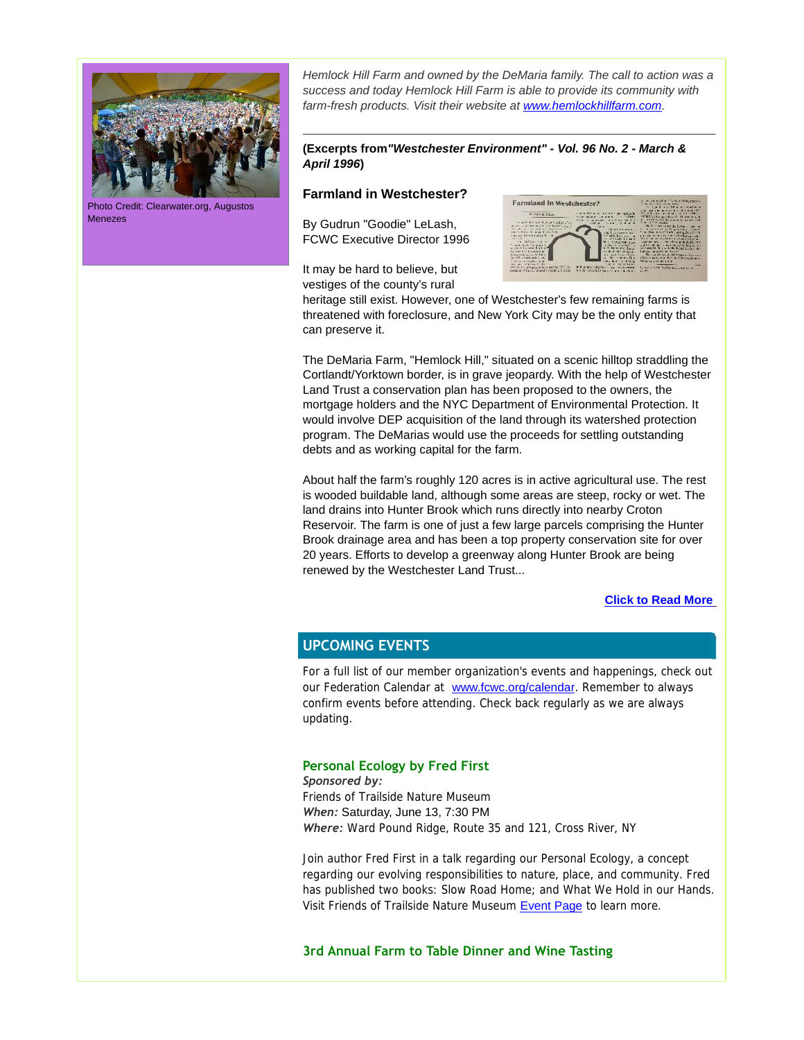

Photo Credit: Clearwater.org, Augustos Menezes

*Hemlock Hill Farm and owned by the DeMaria family. The call to action was a success and today Hemlock Hill Farm is able to provide its community with farm-fresh products. Visit their website at www.hemlockhillfarm.com.*

#### **(Excerpts from***"Westchester Environment" - Vol. 96 No. 2 - March & April 1996***)**

# **Farmland in Westchester?**

By Gudrun "Goodie" LeLash, FCWC Executive Director 1996



It may be hard to believe, but vestiges of the county's rural

heritage still exist. However, one of Westchester's few remaining farms is threatened with foreclosure, and New York City may be the only entity that can preserve it.

The DeMaria Farm, "Hemlock Hill," situated on a scenic hilltop straddling the Cortlandt/Yorktown border, is in grave jeopardy. With the help of Westchester Land Trust a conservation plan has been proposed to the owners, the mortgage holders and the NYC Department of Environmental Protection. It would involve DEP acquisition of the land through its watershed protection program. The DeMarias would use the proceeds for settling outstanding debts and as working capital for the farm.

About half the farm's roughly 120 acres is in active agricultural use. The rest is wooded buildable land, although some areas are steep, rocky or wet. The land drains into Hunter Brook which runs directly into nearby Croton Reservoir. The farm is one of just a few large parcels comprising the Hunter Brook drainage area and has been a top property conservation site for over 20 years. Efforts to develop a greenway along Hunter Brook are being renewed by the Westchester Land Trust...

## **Click to Read More**

## **UPCOMING EVENTS**

For a full list of our member organization's events and happenings, check out our Federation Calendar at www.fcwc.org/calendar. Remember to always confirm events before attending. Check back regularly as we are always updating.

## **Personal Ecology by Fred First**

*Sponsored by:* Friends of Trailside Nature Museum *When:* Saturday, June 13, 7:30 PM *Where:* Ward Pound Ridge, Route 35 and 121, Cross River, NY

Join author Fred First in a talk regarding our Personal Ecology, a concept regarding our evolving responsibilities to nature, place, and community. Fred has published two books: Slow Road Home; and What We Hold in our Hands. Visit Friends of Trailside Nature Museum Event Page to learn more.

## **3rd Annual Farm to Table Dinner and Wine Tasting**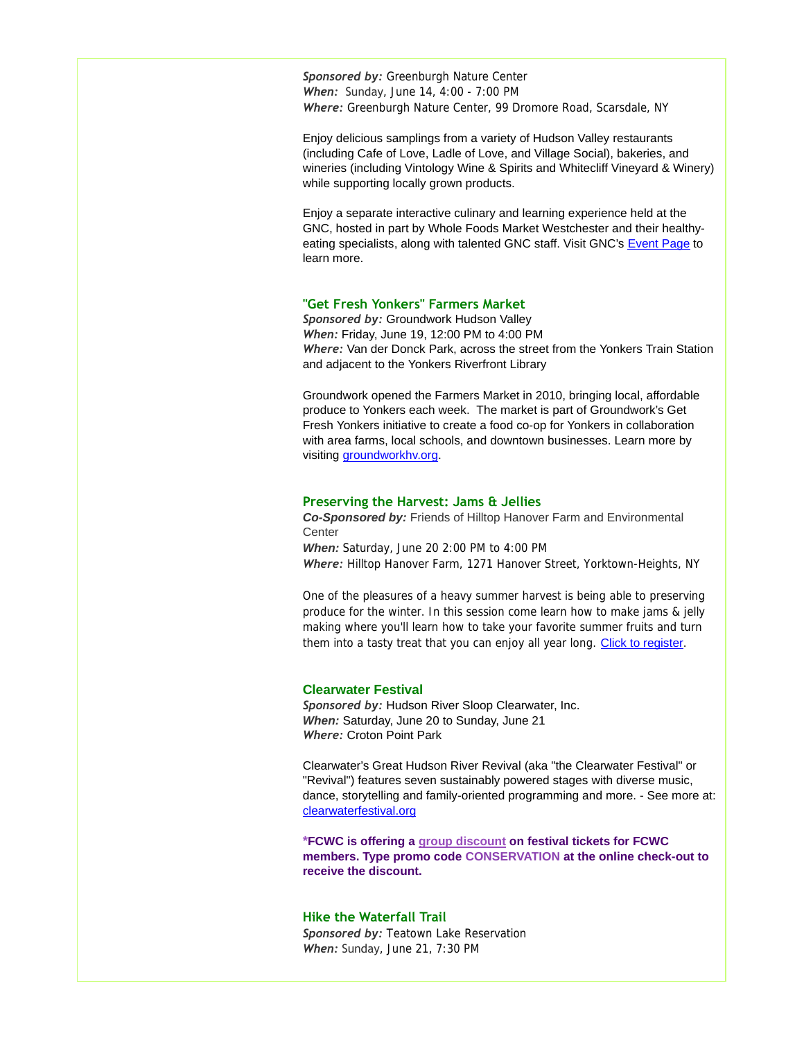*Sponsored by:* Greenburgh Nature Center *When:* Sunday, June 14, 4:00 - 7:00 PM *Where:* Greenburgh Nature Center, 99 Dromore Road, Scarsdale, NY

Enjoy delicious samplings from a variety of Hudson Valley restaurants (including Cafe of Love, Ladle of Love, and Village Social), bakeries, and wineries (including Vintology Wine & Spirits and Whitecliff Vineyard & Winery) while supporting locally grown products.

Enjoy a separate interactive culinary and learning experience held at the GNC, hosted in part by Whole Foods Market Westchester and their healthyeating specialists, along with talented GNC staff. Visit GNC's Event Page to learn more.

#### **"Get Fresh Yonkers" Farmers Market**

*Sponsored by:* Groundwork Hudson Valley *When:* Friday, June 19, 12:00 PM to 4:00 PM *Where:* Van der Donck Park, across the street from the Yonkers Train Station and adjacent to the Yonkers Riverfront Library

Groundwork opened the Farmers Market in 2010, bringing local, affordable produce to Yonkers each week. The market is part of Groundwork's Get Fresh Yonkers initiative to create a food co-op for Yonkers in collaboration with area farms, local schools, and downtown businesses. Learn more by visiting **groundworkhv.org.** 

#### **Preserving the Harvest: Jams & Jellies**

*Co-Sponsored by:* Friends of Hilltop Hanover Farm and Environmental **Center** 

*When:* Saturday, June 20 2:00 PM to 4:00 PM *Where:* Hilltop Hanover Farm, 1271 Hanover Street, Yorktown-Heights, NY

One of the pleasures of a heavy summer harvest is being able to preserving produce for the winter. In this session come learn how to make jams & jelly making where you'll learn how to take your favorite summer fruits and turn them into a tasty treat that you can enjoy all year long. Click to register.

#### **Clearwater Festival**

*Sponsored by:* Hudson River Sloop Clearwater, Inc. *When:* Saturday, June 20 to Sunday, June 21 *Where:* Croton Point Park

Clearwater's Great Hudson River Revival (aka "the Clearwater Festival" or "Revival") features seven sustainably powered stages with diverse music, dance, storytelling and family-oriented programming and more. - See more at: clearwaterfestival.org

**\*FCWC is offering a group discount on festival tickets for FCWC members. Type promo code CONSERVATION at the online check-out to receive the discount.**

## **Hike the Waterfall Trail**

*Sponsored by:* Teatown Lake Reservation *When:* Sunday, June 21, 7:30 PM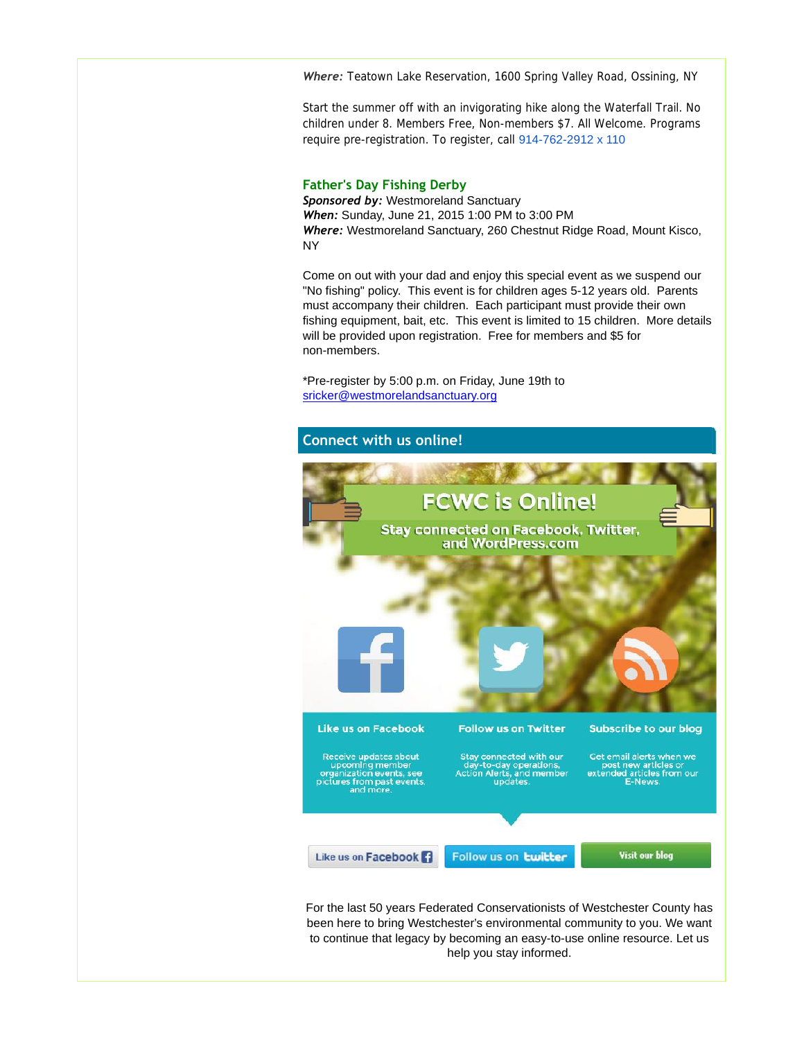*Where:* Teatown Lake Reservation, 1600 Spring Valley Road, Ossining, NY

Start the summer off with an invigorating hike along the Waterfall Trail. No children under 8. Members Free, Non-members \$7. All Welcome. Programs require pre-registration. To register, call 914-762-2912 x 110

#### **Father's Day Fishing Derby**

*Sponsored by:* Westmoreland Sanctuary *When:* Sunday, June 21, 2015 1:00 PM to 3:00 PM *Where:* Westmoreland Sanctuary, 260 Chestnut Ridge Road, Mount Kisco, NY

Come on out with your dad and enjoy this special event as we suspend our "No fishing" policy. This event is for children ages 5-12 years old. Parents must accompany their children. Each participant must provide their own fishing equipment, bait, etc. This event is limited to 15 children. More details will be provided upon registration. Free for members and \$5 for non-members.

\*Pre-register by 5:00 p.m. on Friday, June 19th to sricker@westmorelandsanctuary.org

## **Connect with us online!**



For the last 50 years Federated Conservationists of Westchester County has been here to bring Westchester's environmental community to you. We want to continue that legacy by becoming an easy-to-use online resource. Let us help you stay informed.